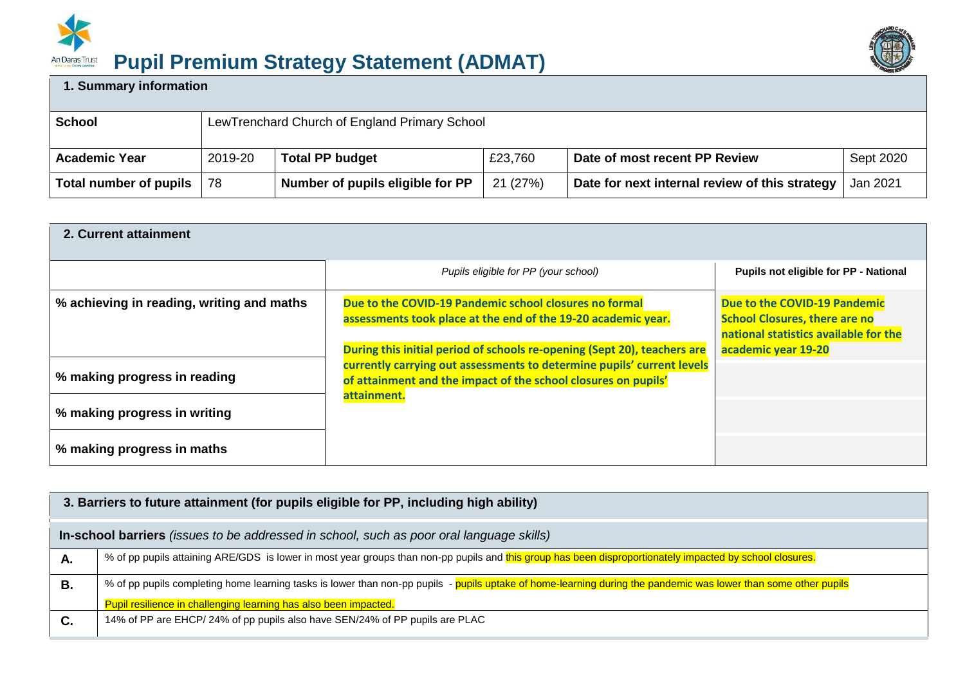

## **Pupil Premium Strategy Statement (ADMAT)** An Daras Trust



## **1. Summary information**

| School                 | LewTrenchard Church of England Primary School |                                  |          |                                                |           |  |
|------------------------|-----------------------------------------------|----------------------------------|----------|------------------------------------------------|-----------|--|
| <b>Academic Year</b>   | 2019-20                                       | <b>Total PP budget</b>           | £23,760  | Date of most recent PP Review                  | Sept 2020 |  |
| Total number of pupils | 78                                            | Number of pupils eligible for PP | 21 (27%) | Date for next internal review of this strategy | Jan 2021  |  |

| 2. Current attainment                     |                                                                                                                                                                                                                                     |                                                                                                               |
|-------------------------------------------|-------------------------------------------------------------------------------------------------------------------------------------------------------------------------------------------------------------------------------------|---------------------------------------------------------------------------------------------------------------|
|                                           | Pupils eligible for PP (your school)                                                                                                                                                                                                | Pupils not eligible for PP - National                                                                         |
| % achieving in reading, writing and maths | Due to the COVID-19 Pandemic school closures no formal<br>assessments took place at the end of the 19-20 academic year.                                                                                                             | Due to the COVID-19 Pandemic<br><b>School Closures, there are no</b><br>national statistics available for the |
| % making progress in reading              | During this initial period of schools re-opening (Sept 20), teachers are<br>currently carrying out assessments to determine pupils' current levels<br>of attainment and the impact of the school closures on pupils'<br>attainment. | academic year 19-20                                                                                           |
| % making progress in writing              |                                                                                                                                                                                                                                     |                                                                                                               |
| % making progress in maths                |                                                                                                                                                                                                                                     |                                                                                                               |

|    | 3. Barriers to future attainment (for pupils eligible for PP, including high ability)                                                                           |
|----|-----------------------------------------------------------------------------------------------------------------------------------------------------------------|
|    | In-school barriers (issues to be addressed in school, such as poor oral language skills)                                                                        |
| А. | % of pp pupils attaining ARE/GDS is lower in most year groups than non-pp pupils and this group has been disproportionately impacted by school closures.        |
| В. | % of pp pupils completing home learning tasks is lower than non-pp pupils - pupils uptake of home-learning during the pandemic was lower than some other pupils |
|    | Pupil resilience in challenging learning has also been impacted.                                                                                                |
| C. | 14% of PP are EHCP/24% of pp pupils also have SEN/24% of PP pupils are PLAC                                                                                     |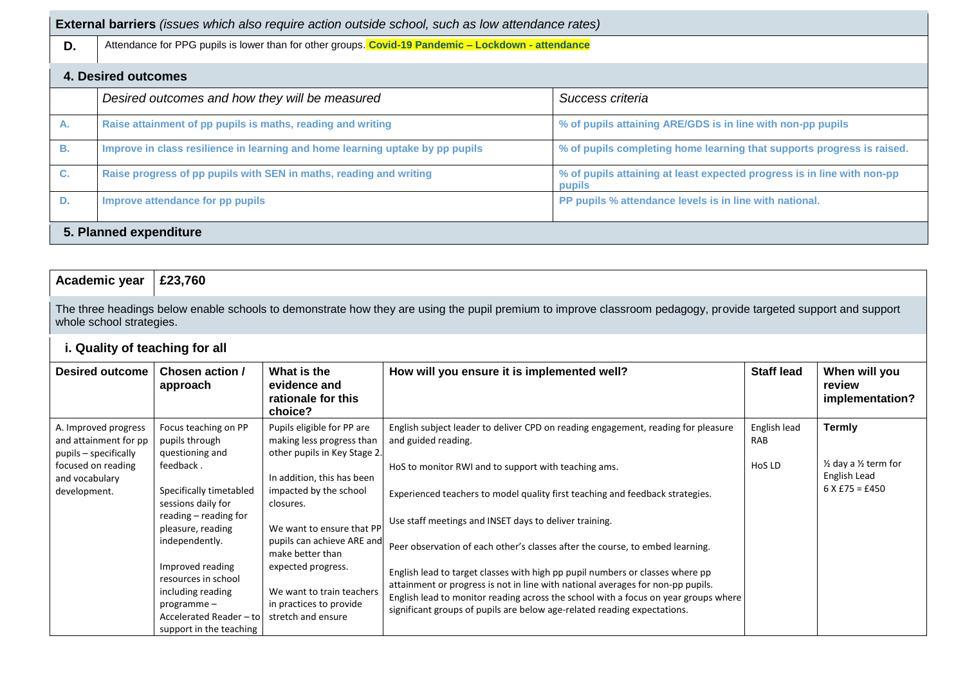|    | <b>External barriers</b> (issues which also require action outside school, such as low attendance rates) |                                                                                   |  |  |  |  |
|----|----------------------------------------------------------------------------------------------------------|-----------------------------------------------------------------------------------|--|--|--|--|
| D. | Attendance for PPG pupils is lower than for other groups. Covid-19 Pandemic - Lockdown - attendance      |                                                                                   |  |  |  |  |
|    | 4. Desired outcomes                                                                                      |                                                                                   |  |  |  |  |
|    | Desired outcomes and how they will be measured                                                           | Success criteria                                                                  |  |  |  |  |
| А. | Raise attainment of pp pupils is maths, reading and writing                                              | % of pupils attaining ARE/GDS is in line with non-pp pupils                       |  |  |  |  |
| В. | Improve in class resilience in learning and home learning uptake by pp pupils                            | % of pupils completing home learning that supports progress is raised.            |  |  |  |  |
| C. | Raise progress of pp pupils with SEN in maths, reading and writing                                       | % of pupils attaining at least expected progress is in line with non-pp<br>pupils |  |  |  |  |
| D. | Improve attendance for pp pupils                                                                         | PP pupils % attendance levels is in line with national.                           |  |  |  |  |
|    | 5. Planned expenditure                                                                                   |                                                                                   |  |  |  |  |

| Academic year $\vert$ £23,760 |                                                                                                                                                                 |
|-------------------------------|-----------------------------------------------------------------------------------------------------------------------------------------------------------------|
| whole school strategies.      | The three headings below enable schools to demonstrate how they are using the pupil premium to improve classroom pedagogy, provide targeted support and support |
| i Auglity of togobing for all |                                                                                                                                                                 |

| i. Quality of teaching for all |  |  |
|--------------------------------|--|--|
|                                |  |  |
|                                |  |  |

| <b>Desired outcome</b>                                                                                                         | Chosen action /<br>approach                                                                                                                                                                                                                             | What is the<br>evidence and<br>rationale for this<br>choice?                                                                                                                                                                                                                                   | How will you ensure it is implemented well?                                                                                                                                                                                                                                                                                                                                                                                                                                                                                                                      | <b>Staff lead</b>             | When will you<br>review<br>implementation?                                                           |
|--------------------------------------------------------------------------------------------------------------------------------|---------------------------------------------------------------------------------------------------------------------------------------------------------------------------------------------------------------------------------------------------------|------------------------------------------------------------------------------------------------------------------------------------------------------------------------------------------------------------------------------------------------------------------------------------------------|------------------------------------------------------------------------------------------------------------------------------------------------------------------------------------------------------------------------------------------------------------------------------------------------------------------------------------------------------------------------------------------------------------------------------------------------------------------------------------------------------------------------------------------------------------------|-------------------------------|------------------------------------------------------------------------------------------------------|
| A. Improved progress<br>and attainment for pp<br>pupils - specifically<br>focused on reading<br>and vocabulary<br>development. | Focus teaching on PP<br>pupils through<br>questioning and<br>feedback.<br>Specifically timetabled<br>sessions daily for<br>reading – reading for<br>pleasure, reading<br>independently.<br>Improved reading<br>resources in school<br>including reading | Pupils eligible for PP are<br>making less progress than<br>other pupils in Key Stage 2.<br>In addition, this has been<br>impacted by the school<br>closures.<br>We want to ensure that PP<br>pupils can achieve ARE and<br>make better than<br>expected progress.<br>We want to train teachers | English subject leader to deliver CPD on reading engagement, reading for pleasure<br>and guided reading.<br>HoS to monitor RWI and to support with teaching ams.<br>Experienced teachers to model quality first teaching and feedback strategies.<br>Use staff meetings and INSET days to deliver training.<br>Peer observation of each other's classes after the course, to embed learning.<br>English lead to target classes with high pp pupil numbers or classes where pp<br>attainment or progress is not in line with national averages for non-pp pupils. | English lead<br>RAB<br>HoS LD | <b>Termly</b><br>$\frac{1}{2}$ day a $\frac{1}{2}$ term for<br>English Lead<br>$6 \times £75 = £450$ |
| in practices to provide<br>$programme -$<br>Accelerated Reader - to<br>stretch and ensure<br>support in the teaching           | English lead to monitor reading across the school with a focus on year groups where<br>significant groups of pupils are below age-related reading expectations.                                                                                         |                                                                                                                                                                                                                                                                                                |                                                                                                                                                                                                                                                                                                                                                                                                                                                                                                                                                                  |                               |                                                                                                      |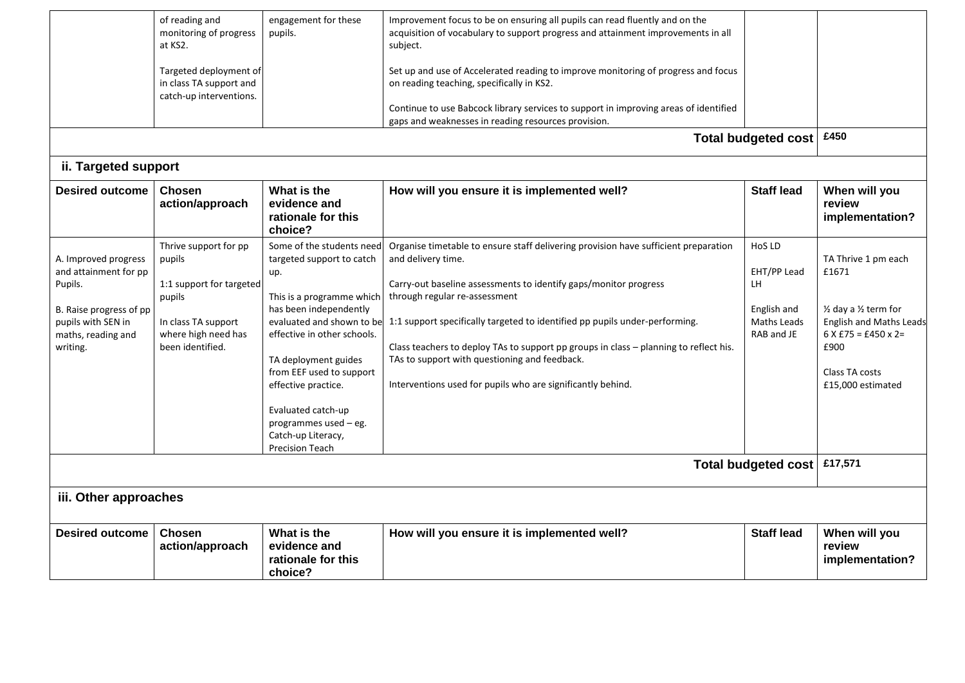|                                                                                                                                             | of reading and<br>monitoring of progress<br>at KS2.<br>Targeted deployment of<br>in class TA support and<br>catch-up interventions.     | engagement for these<br>pupils.                                                                                                                                                                                                                                                                                                                            | Improvement focus to be on ensuring all pupils can read fluently and on the<br>acquisition of vocabulary to support progress and attainment improvements in all<br>subject.<br>Set up and use of Accelerated reading to improve monitoring of progress and focus<br>on reading teaching, specifically in KS2.<br>Continue to use Babcock library services to support in improving areas of identified<br>gaps and weaknesses in reading resources provision.                                           | <b>Total budgeted cost</b>                                              | £450                                                                                                                                                             |
|---------------------------------------------------------------------------------------------------------------------------------------------|-----------------------------------------------------------------------------------------------------------------------------------------|------------------------------------------------------------------------------------------------------------------------------------------------------------------------------------------------------------------------------------------------------------------------------------------------------------------------------------------------------------|--------------------------------------------------------------------------------------------------------------------------------------------------------------------------------------------------------------------------------------------------------------------------------------------------------------------------------------------------------------------------------------------------------------------------------------------------------------------------------------------------------|-------------------------------------------------------------------------|------------------------------------------------------------------------------------------------------------------------------------------------------------------|
| ii. Targeted support                                                                                                                        |                                                                                                                                         |                                                                                                                                                                                                                                                                                                                                                            |                                                                                                                                                                                                                                                                                                                                                                                                                                                                                                        |                                                                         |                                                                                                                                                                  |
| <b>Desired outcome</b>                                                                                                                      | Chosen<br>action/approach                                                                                                               | What is the<br>evidence and<br>rationale for this<br>choice?                                                                                                                                                                                                                                                                                               | How will you ensure it is implemented well?                                                                                                                                                                                                                                                                                                                                                                                                                                                            | <b>Staff lead</b>                                                       | When will you<br>review<br>implementation?                                                                                                                       |
| A. Improved progress<br>and attainment for pp<br>Pupils.<br>B. Raise progress of pp<br>pupils with SEN in<br>maths, reading and<br>writing. | Thrive support for pp<br>pupils<br>1:1 support for targeted<br>pupils<br>In class TA support<br>where high need has<br>been identified. | Some of the students need<br>targeted support to catch<br>up.<br>This is a programme which<br>has been independently<br>evaluated and shown to be<br>effective in other schools.<br>TA deployment guides<br>from EEF used to support<br>effective practice.<br>Evaluated catch-up<br>programmes used - eg.<br>Catch-up Literacy,<br><b>Precision Teach</b> | Organise timetable to ensure staff delivering provision have sufficient preparation<br>and delivery time.<br>Carry-out baseline assessments to identify gaps/monitor progress<br>through regular re-assessment<br>1:1 support specifically targeted to identified pp pupils under-performing.<br>Class teachers to deploy TAs to support pp groups in class - planning to reflect his.<br>TAs to support with questioning and feedback.<br>Interventions used for pupils who are significantly behind. | HoS LD<br>EHT/PP Lead<br>LH<br>English and<br>Maths Leads<br>RAB and JE | TA Thrive 1 pm each<br>£1671<br>1/2 day a 1/2 term for<br><b>English and Maths Leads</b><br>$6$ X £75 = £450 x 2=<br>£900<br>Class TA costs<br>£15,000 estimated |
| Total budgeted cost                                                                                                                         |                                                                                                                                         |                                                                                                                                                                                                                                                                                                                                                            |                                                                                                                                                                                                                                                                                                                                                                                                                                                                                                        |                                                                         | £17,571                                                                                                                                                          |
| iii. Other approaches                                                                                                                       |                                                                                                                                         |                                                                                                                                                                                                                                                                                                                                                            |                                                                                                                                                                                                                                                                                                                                                                                                                                                                                                        |                                                                         |                                                                                                                                                                  |
| <b>Desired outcome</b>                                                                                                                      | Chosen<br>action/approach                                                                                                               | What is the<br>evidence and<br>rationale for this<br>choice?                                                                                                                                                                                                                                                                                               | How will you ensure it is implemented well?                                                                                                                                                                                                                                                                                                                                                                                                                                                            | <b>Staff lead</b>                                                       | When will you<br>review<br>implementation?                                                                                                                       |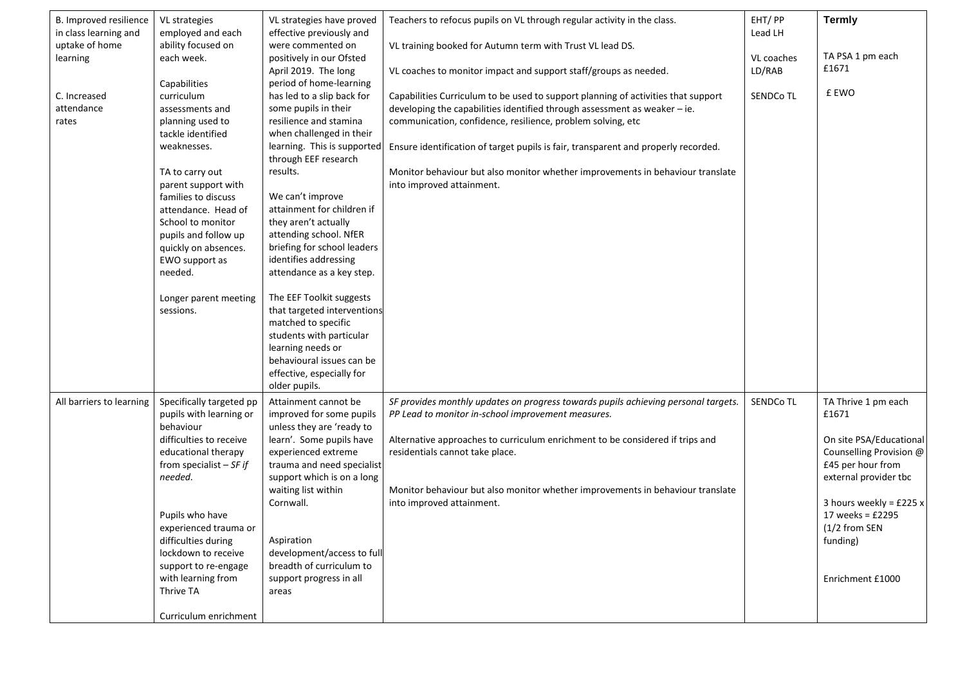| B. Improved resilience<br>in class learning and | VL strategies<br>employed and each  | VL strategies have proved<br>effective previously and    | Teachers to refocus pupils on VL through regular activity in the class.            | EHT/PP<br>Lead LH    | <b>Termly</b>                                |
|-------------------------------------------------|-------------------------------------|----------------------------------------------------------|------------------------------------------------------------------------------------|----------------------|----------------------------------------------|
| uptake of home                                  | ability focused on                  | were commented on                                        | VL training booked for Autumn term with Trust VL lead DS.                          |                      | TA PSA 1 pm each                             |
| learning                                        | each week.                          | positively in our Ofsted<br>April 2019. The long         | VL coaches to monitor impact and support staff/groups as needed.                   | VL coaches<br>LD/RAB | £1671                                        |
|                                                 | Capabilities                        | period of home-learning                                  |                                                                                    |                      |                                              |
| C. Increased                                    | curriculum                          | has led to a slip back for                               | Capabilities Curriculum to be used to support planning of activities that support  | <b>SENDCo TL</b>     | £ EWO                                        |
| attendance                                      | assessments and                     | some pupils in their                                     | developing the capabilities identified through assessment as weaker $-$ ie.        |                      |                                              |
| rates                                           | planning used to                    | resilience and stamina                                   | communication, confidence, resilience, problem solving, etc                        |                      |                                              |
|                                                 | tackle identified                   | when challenged in their                                 |                                                                                    |                      |                                              |
|                                                 | weaknesses.                         | learning. This is supported<br>through EEF research      | Ensure identification of target pupils is fair, transparent and properly recorded. |                      |                                              |
|                                                 | TA to carry out                     | results.                                                 | Monitor behaviour but also monitor whether improvements in behaviour translate     |                      |                                              |
|                                                 | parent support with                 |                                                          | into improved attainment.                                                          |                      |                                              |
|                                                 | families to discuss                 | We can't improve                                         |                                                                                    |                      |                                              |
|                                                 | attendance. Head of                 | attainment for children if                               |                                                                                    |                      |                                              |
|                                                 | School to monitor                   | they aren't actually                                     |                                                                                    |                      |                                              |
|                                                 | pupils and follow up                | attending school. NfER                                   |                                                                                    |                      |                                              |
|                                                 | quickly on absences.                | briefing for school leaders                              |                                                                                    |                      |                                              |
|                                                 | EWO support as<br>needed.           | identifies addressing<br>attendance as a key step.       |                                                                                    |                      |                                              |
|                                                 |                                     |                                                          |                                                                                    |                      |                                              |
|                                                 | Longer parent meeting               | The EEF Toolkit suggests                                 |                                                                                    |                      |                                              |
|                                                 | sessions.                           | that targeted interventions                              |                                                                                    |                      |                                              |
|                                                 |                                     | matched to specific                                      |                                                                                    |                      |                                              |
|                                                 |                                     | students with particular                                 |                                                                                    |                      |                                              |
|                                                 |                                     | learning needs or                                        |                                                                                    |                      |                                              |
|                                                 |                                     | behavioural issues can be                                |                                                                                    |                      |                                              |
|                                                 |                                     | effective, especially for                                |                                                                                    |                      |                                              |
|                                                 |                                     | older pupils.                                            |                                                                                    |                      |                                              |
| All barriers to learning                        | Specifically targeted pp            | Attainment cannot be                                     | SF provides monthly updates on progress towards pupils achieving personal targets. | SENDCo TL            | TA Thrive 1 pm each                          |
|                                                 | pupils with learning or             | improved for some pupils                                 | PP Lead to monitor in-school improvement measures.                                 |                      | £1671                                        |
|                                                 | behaviour                           | unless they are 'ready to                                |                                                                                    |                      |                                              |
|                                                 | difficulties to receive             | learn'. Some pupils have                                 | Alternative approaches to curriculum enrichment to be considered if trips and      |                      | On site PSA/Educational                      |
|                                                 | educational therapy                 | experienced extreme                                      | residentials cannot take place.                                                    |                      | Counselling Provision @<br>£45 per hour from |
|                                                 | from specialist $-SF$ if<br>needed. | trauma and need specialist<br>support which is on a long |                                                                                    |                      | external provider tbc                        |
|                                                 |                                     | waiting list within                                      | Monitor behaviour but also monitor whether improvements in behaviour translate     |                      |                                              |
|                                                 |                                     | Cornwall.                                                | into improved attainment.                                                          |                      | 3 hours weekly = $£225 x$                    |
|                                                 | Pupils who have                     |                                                          |                                                                                    |                      | 17 weeks = $£2295$                           |
|                                                 | experienced trauma or               |                                                          |                                                                                    |                      | (1/2 from SEN                                |
|                                                 | difficulties during                 | Aspiration                                               |                                                                                    |                      | funding)                                     |
|                                                 | lockdown to receive                 | development/access to full                               |                                                                                    |                      |                                              |
|                                                 | support to re-engage                | breadth of curriculum to                                 |                                                                                    |                      |                                              |
|                                                 | with learning from                  | support progress in all                                  |                                                                                    |                      | Enrichment £1000                             |
|                                                 | Thrive TA                           | areas                                                    |                                                                                    |                      |                                              |
|                                                 |                                     |                                                          |                                                                                    |                      |                                              |
|                                                 | Curriculum enrichment               |                                                          |                                                                                    |                      |                                              |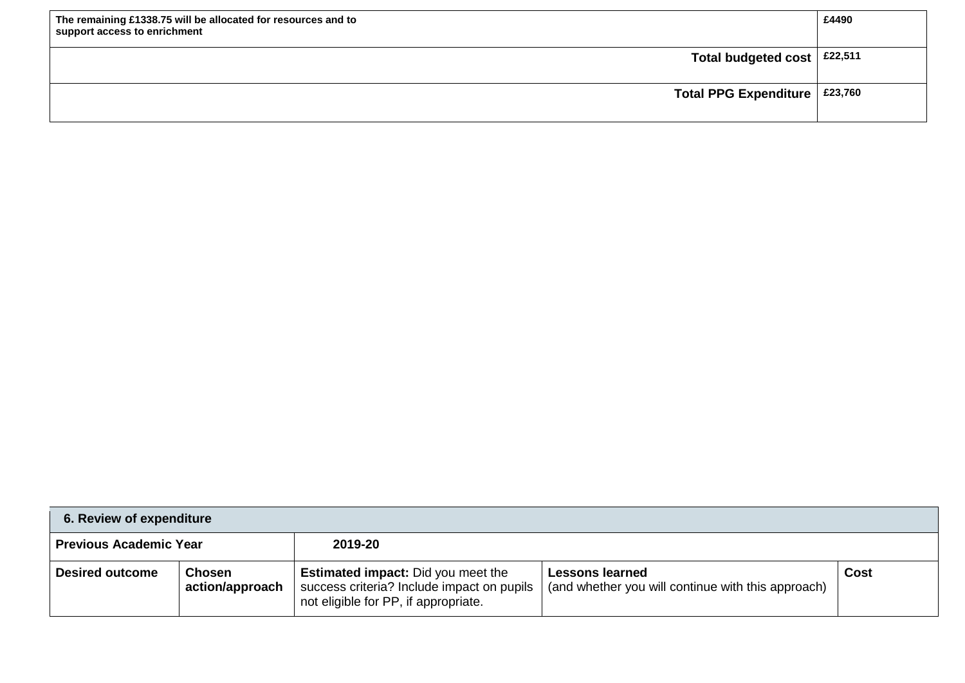| The remaining £1338.75 will be allocated for resources and to<br>support access to enrichment | £4490 |
|-----------------------------------------------------------------------------------------------|-------|
| Total budgeted cost $\vert$ £22,511                                                           |       |
| Total PPG Expenditure $\vert$ £23,760                                                         |       |

| 6. Review of expenditure                 |                                  |                                                                                                                                 |                                                                              |      |  |
|------------------------------------------|----------------------------------|---------------------------------------------------------------------------------------------------------------------------------|------------------------------------------------------------------------------|------|--|
| <b>Previous Academic Year</b><br>2019-20 |                                  |                                                                                                                                 |                                                                              |      |  |
| <b>Desired outcome</b>                   | <b>Chosen</b><br>action/approach | <b>Estimated impact:</b> Did you meet the<br>success criteria? Include impact on pupils<br>not eligible for PP, if appropriate. | <b>Lessons learned</b><br>(and whether you will continue with this approach) | Cost |  |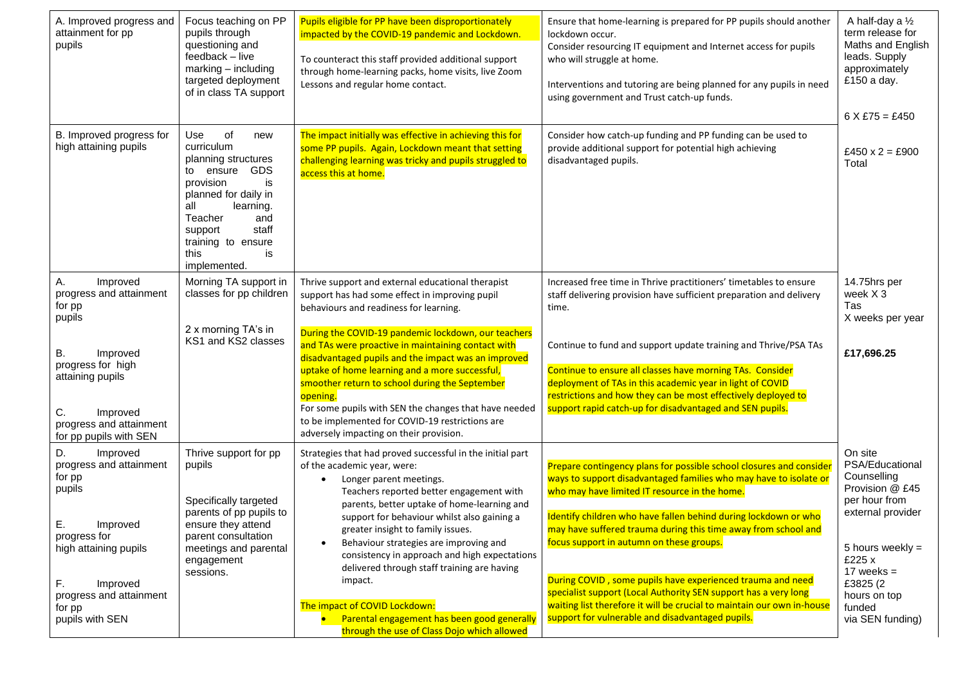| A. Improved progress and<br>attainment for pp<br>pupils                                                                                                                                            | Focus teaching on PP<br>pupils through<br>questioning and<br>feedback - live<br>$marking - including$<br>targeted deployment<br>of in class TA support                                                                                    | Pupils eligible for PP have been disproportionately<br>impacted by the COVID-19 pandemic and Lockdown.<br>To counteract this staff provided additional support<br>through home-learning packs, home visits, live Zoom<br>Lessons and regular home contact.                                                                                                                                                                                                                                                                                                                               | Ensure that home-learning is prepared for PP pupils should another<br>lockdown occur.<br>Consider resourcing IT equipment and Internet access for pupils<br>who will struggle at home.<br>Interventions and tutoring are being planned for any pupils in need<br>using government and Trust catch-up funds.                                                                                                                                                                                                                                                                                                                               | A half-day a 1/2<br>term release for<br>Maths and English<br>leads. Supply<br>approximately<br>£150 a day.<br>$6 X £75 = £450$                                                                               |
|----------------------------------------------------------------------------------------------------------------------------------------------------------------------------------------------------|-------------------------------------------------------------------------------------------------------------------------------------------------------------------------------------------------------------------------------------------|------------------------------------------------------------------------------------------------------------------------------------------------------------------------------------------------------------------------------------------------------------------------------------------------------------------------------------------------------------------------------------------------------------------------------------------------------------------------------------------------------------------------------------------------------------------------------------------|-------------------------------------------------------------------------------------------------------------------------------------------------------------------------------------------------------------------------------------------------------------------------------------------------------------------------------------------------------------------------------------------------------------------------------------------------------------------------------------------------------------------------------------------------------------------------------------------------------------------------------------------|--------------------------------------------------------------------------------------------------------------------------------------------------------------------------------------------------------------|
| B. Improved progress for<br>high attaining pupils                                                                                                                                                  | of<br>Use<br>new<br>curriculum<br>planning structures<br><b>GDS</b><br>to ensure<br>is<br>provision<br>planned for daily in<br>all<br>learning.<br>Teacher<br>and<br>staff<br>support<br>training to ensure<br>is<br>this<br>implemented. | The impact initially was effective in achieving this for<br>some PP pupils. Again, Lockdown meant that setting<br>challenging learning was tricky and pupils struggled to<br>access this at home.                                                                                                                                                                                                                                                                                                                                                                                        | Consider how catch-up funding and PP funding can be used to<br>provide additional support for potential high achieving<br>disadvantaged pupils.                                                                                                                                                                                                                                                                                                                                                                                                                                                                                           | £450 x 2 = £900<br>Total                                                                                                                                                                                     |
| Α.<br>Improved<br>progress and attainment<br>for pp<br>pupils<br>В.<br>Improved<br>progress for high<br>attaining pupils<br>C.<br>Improved<br>progress and attainment<br>for pp pupils with SEN    | Morning TA support in<br>classes for pp children<br>2 x morning TA's in<br>KS1 and KS2 classes                                                                                                                                            | Thrive support and external educational therapist<br>support has had some effect in improving pupil<br>behaviours and readiness for learning.<br>During the COVID-19 pandemic lockdown, our teachers<br>and TAs were proactive in maintaining contact with<br>disadvantaged pupils and the impact was an improved<br>uptake of home learning and a more successful,<br>smoother return to school during the September<br>opening.<br>For some pupils with SEN the changes that have needed<br>to be implemented for COVID-19 restrictions are<br>adversely impacting on their provision. | Increased free time in Thrive practitioners' timetables to ensure<br>staff delivering provision have sufficient preparation and delivery<br>time.<br>Continue to fund and support update training and Thrive/PSA TAs<br>Continue to ensure all classes have morning TAs. Consider<br>deployment of TAs in this academic year in light of COVID<br>restrictions and how they can be most effectively deployed to<br>support rapid catch-up for disadvantaged and SEN pupils.                                                                                                                                                               | 14.75hrs per<br>week X 3<br>Tas<br>X weeks per year<br>£17,696.25                                                                                                                                            |
| D.<br>Improved<br>progress and attainment<br>for pp<br>pupils<br>E.<br>Improved<br>progress for<br>high attaining pupils<br>F.<br>Improved<br>progress and attainment<br>for pp<br>pupils with SEN | Thrive support for pp<br>pupils<br>Specifically targeted<br>parents of pp pupils to<br>ensure they attend<br>parent consultation<br>meetings and parental<br>engagement<br>sessions.                                                      | Strategies that had proved successful in the initial part<br>of the academic year, were:<br>Longer parent meetings.<br>Teachers reported better engagement with<br>parents, better uptake of home-learning and<br>support for behaviour whilst also gaining a<br>greater insight to family issues.<br>Behaviour strategies are improving and<br>consistency in approach and high expectations<br>delivered through staff training are having<br>impact.<br>The impact of COVID Lockdown:<br>Parental engagement has been good generally<br>through the use of Class Dojo which allowed   | Prepare contingency plans for possible school closures and consider<br>ways to support disadvantaged families who may have to isolate or<br>who may have limited IT resource in the home.<br>Identify children who have fallen behind during lockdown or who<br>may have suffered trauma during this time away from school and<br>focus support in autumn on these groups.<br>During COVID, some pupils have experienced trauma and need<br>specialist support (Local Authority SEN support has a very long<br>waiting list therefore it will be crucial to maintain our own in-house<br>support for vulnerable and disadvantaged pupils. | On site<br>PSA/Educational<br>Counselling<br>Provision @ £45<br>per hour from<br>external provider<br>5 hours weekly $=$<br>£225 x<br>17 weeks $=$<br>£3825 (2<br>hours on top<br>funded<br>via SEN funding) |